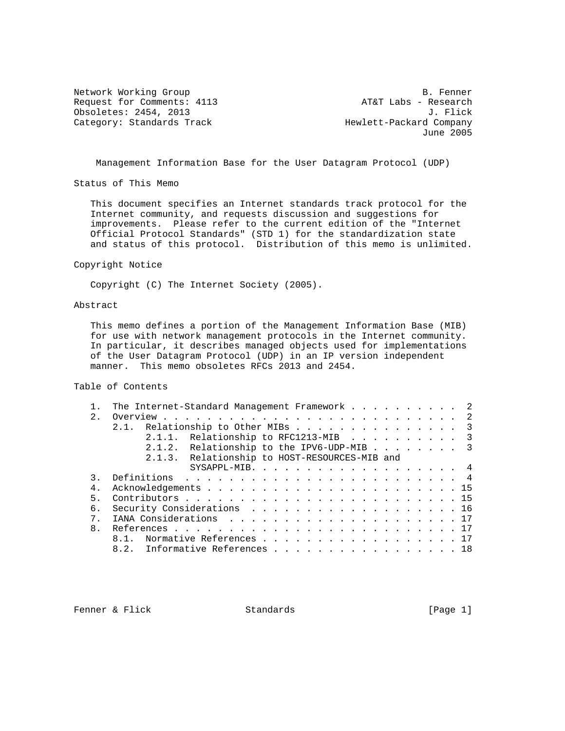Request for Comments: 4113 <br>
Obsoletes: 2454, 2013 <br>
J. Flick <br>
1. Flick Obsoletes: 2454, 2013<br>Category: Standards Track

Network Working Group and the set of the set of the B. Fenner Hewlett-Packard Company June 2005

Management Information Base for the User Datagram Protocol (UDP)

Status of This Memo

 This document specifies an Internet standards track protocol for the Internet community, and requests discussion and suggestions for improvements. Please refer to the current edition of the "Internet Official Protocol Standards" (STD 1) for the standardization state and status of this protocol. Distribution of this memo is unlimited.

### Copyright Notice

Copyright (C) The Internet Society (2005).

### Abstract

 This memo defines a portion of the Management Information Base (MIB) for use with network management protocols in the Internet community. In particular, it describes managed objects used for implementations of the User Datagram Protocol (UDP) in an IP version independent manner. This memo obsoletes RFCs 2013 and 2454.

Table of Contents

|                | The Internet-Standard Management Framework 2  |
|----------------|-----------------------------------------------|
| $2^{\circ}$    |                                               |
|                | 2.1. Relationship to Other MIBs 3             |
|                | 2.1.1. Relationship to RFC1213-MIB 3          |
|                | 2.1.2. Relationship to the IPV6-UDP-MIB 3     |
|                | 2.1.3. Relationship to HOST-RESOURCES-MIB and |
|                |                                               |
|                |                                               |
|                |                                               |
| $4 \,$         |                                               |
| 5.             |                                               |
| б.             | Security Considerations 16                    |
| $7^{\circ}$    |                                               |
|                |                                               |
| 8 <sub>1</sub> |                                               |
|                | 8.1. Normative References 17                  |
|                | 8.2. Informative References 18                |
|                |                                               |

Fenner & Flick Standards (Page 1)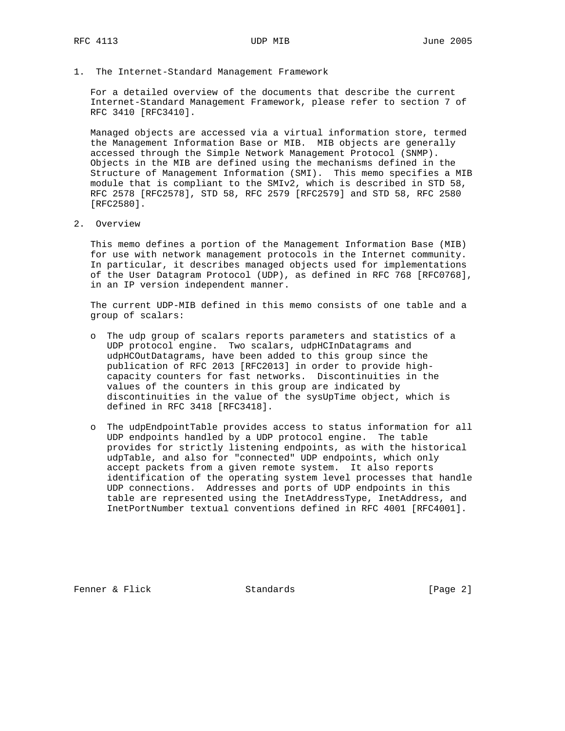1. The Internet-Standard Management Framework

 For a detailed overview of the documents that describe the current Internet-Standard Management Framework, please refer to section 7 of RFC 3410 [RFC3410].

 Managed objects are accessed via a virtual information store, termed the Management Information Base or MIB. MIB objects are generally accessed through the Simple Network Management Protocol (SNMP). Objects in the MIB are defined using the mechanisms defined in the Structure of Management Information (SMI). This memo specifies a MIB module that is compliant to the SMIv2, which is described in STD 58, RFC 2578 [RFC2578], STD 58, RFC 2579 [RFC2579] and STD 58, RFC 2580 [RFC2580].

2. Overview

 This memo defines a portion of the Management Information Base (MIB) for use with network management protocols in the Internet community. In particular, it describes managed objects used for implementations of the User Datagram Protocol (UDP), as defined in RFC 768 [RFC0768], in an IP version independent manner.

 The current UDP-MIB defined in this memo consists of one table and a group of scalars:

- o The udp group of scalars reports parameters and statistics of a UDP protocol engine. Two scalars, udpHCInDatagrams and udpHCOutDatagrams, have been added to this group since the publication of RFC 2013 [RFC2013] in order to provide high capacity counters for fast networks. Discontinuities in the values of the counters in this group are indicated by discontinuities in the value of the sysUpTime object, which is defined in RFC 3418 [RFC3418].
- o The udpEndpointTable provides access to status information for all UDP endpoints handled by a UDP protocol engine. The table provides for strictly listening endpoints, as with the historical udpTable, and also for "connected" UDP endpoints, which only accept packets from a given remote system. It also reports identification of the operating system level processes that handle UDP connections. Addresses and ports of UDP endpoints in this table are represented using the InetAddressType, InetAddress, and InetPortNumber textual conventions defined in RFC 4001 [RFC4001].

Fenner & Flick Standards (Page 2)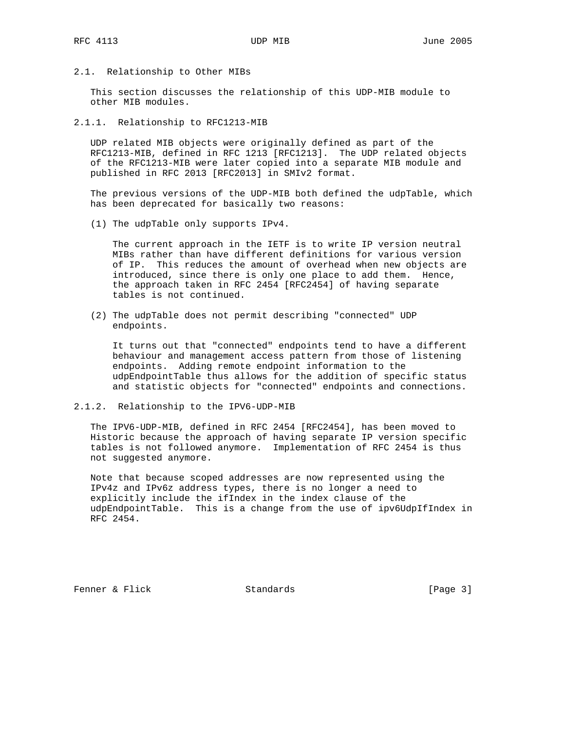2.1. Relationship to Other MIBs

 This section discusses the relationship of this UDP-MIB module to other MIB modules.

2.1.1. Relationship to RFC1213-MIB

 UDP related MIB objects were originally defined as part of the RFC1213-MIB, defined in RFC 1213 [RFC1213]. The UDP related objects of the RFC1213-MIB were later copied into a separate MIB module and published in RFC 2013 [RFC2013] in SMIv2 format.

 The previous versions of the UDP-MIB both defined the udpTable, which has been deprecated for basically two reasons:

(1) The udpTable only supports IPv4.

 The current approach in the IETF is to write IP version neutral MIBs rather than have different definitions for various version of IP. This reduces the amount of overhead when new objects are introduced, since there is only one place to add them. Hence, the approach taken in RFC 2454 [RFC2454] of having separate tables is not continued.

 (2) The udpTable does not permit describing "connected" UDP endpoints.

 It turns out that "connected" endpoints tend to have a different behaviour and management access pattern from those of listening endpoints. Adding remote endpoint information to the udpEndpointTable thus allows for the addition of specific status and statistic objects for "connected" endpoints and connections.

# 2.1.2. Relationship to the IPV6-UDP-MIB

 The IPV6-UDP-MIB, defined in RFC 2454 [RFC2454], has been moved to Historic because the approach of having separate IP version specific tables is not followed anymore. Implementation of RFC 2454 is thus not suggested anymore.

 Note that because scoped addresses are now represented using the IPv4z and IPv6z address types, there is no longer a need to explicitly include the ifIndex in the index clause of the udpEndpointTable. This is a change from the use of ipv6UdpIfIndex in RFC 2454.

Fenner & Flick Standards (Page 3)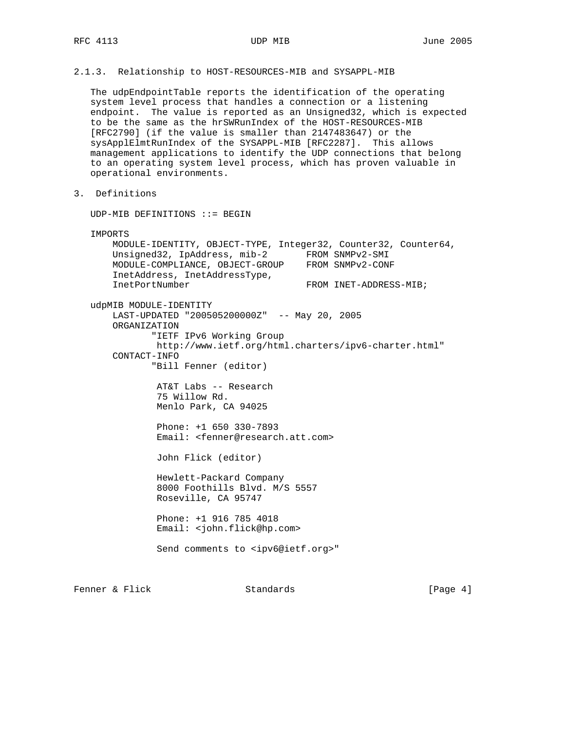2.1.3. Relationship to HOST-RESOURCES-MIB and SYSAPPL-MIB

 The udpEndpointTable reports the identification of the operating system level process that handles a connection or a listening endpoint. The value is reported as an Unsigned32, which is expected to be the same as the hrSWRunIndex of the HOST-RESOURCES-MIB [RFC2790] (if the value is smaller than 2147483647) or the sysApplElmtRunIndex of the SYSAPPL-MIB [RFC2287]. This allows management applications to identify the UDP connections that belong to an operating system level process, which has proven valuable in operational environments.

3. Definitions

UDP-MIB DEFINITIONS ::= BEGIN

 IMPORTS MODULE-IDENTITY, OBJECT-TYPE, Integer32, Counter32, Counter64, Unsigned32, IpAddress, mib-2 FROM SNMPv2-SMI MODULE-COMPLIANCE, OBJECT-GROUP FROM SNMPv2-CONF InetAddress, InetAddressType, InetPortNumber FROM INET-ADDRESS-MIB; udpMIB MODULE-IDENTITY LAST-UPDATED "200505200000Z" -- May 20, 2005 ORGANIZATION "IETF IPv6 Working Group http://www.ietf.org/html.charters/ipv6-charter.html" CONTACT-INFO "Bill Fenner (editor) AT&T Labs -- Research 75 Willow Rd. Menlo Park, CA 94025 Phone: +1 650 330-7893 Email: <fenner@research.att.com> John Flick (editor) Hewlett-Packard Company 8000 Foothills Blvd. M/S 5557 Roseville, CA 95747 Phone: +1 916 785 4018 Email: <john.flick@hp.com> Send comments to <ipv6@ietf.org>"

Fenner & Flick Standards (Page 4)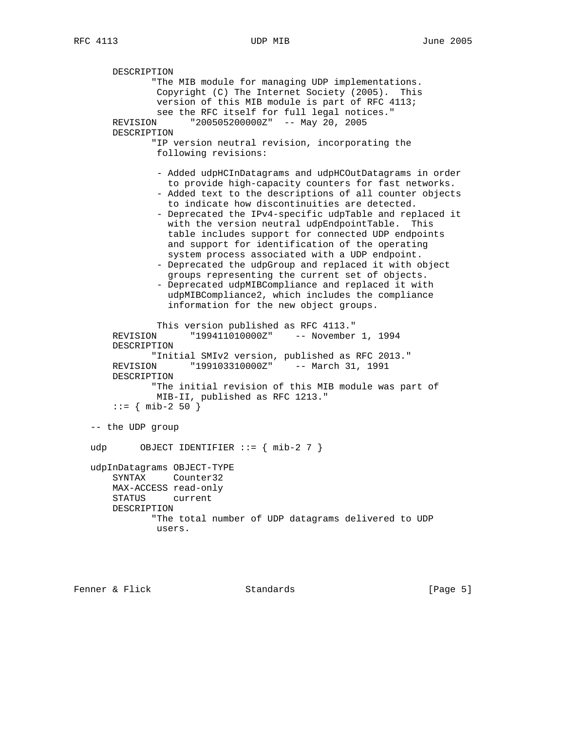DESCRIPTION "The MIB module for managing UDP implementations. Copyright (C) The Internet Society (2005). This version of this MIB module is part of RFC 4113; see the RFC itself for full legal notices." REVISION "200505200000Z" -- May 20, 2005 DESCRIPTION "IP version neutral revision, incorporating the following revisions: - Added udpHCInDatagrams and udpHCOutDatagrams in order to provide high-capacity counters for fast networks. - Added text to the descriptions of all counter objects to indicate how discontinuities are detected. - Deprecated the IPv4-specific udpTable and replaced it with the version neutral udpEndpointTable. This table includes support for connected UDP endpoints and support for identification of the operating system process associated with a UDP endpoint. - Deprecated the udpGroup and replaced it with object groups representing the current set of objects. - Deprecated udpMIBCompliance and replaced it with udpMIBCompliance2, which includes the compliance information for the new object groups. This version published as RFC 4113." REVISION "199411010000Z" -- November 1, 1994 DESCRIPTION "Initial SMIv2 version, published as RFC 2013." REVISION "199103310000Z" -- March 31, 1991 DESCRIPTION "The initial revision of this MIB module was part of MIB-II, published as RFC 1213."  $::=$  { mib-2 50 } -- the UDP group udp 0BJECT IDENTIFIER  $::= \{ \text{min-2 7 } \}$  udpInDatagrams OBJECT-TYPE SYNTAX Counter32 MAX-ACCESS read-only STATUS current DESCRIPTION "The total number of UDP datagrams delivered to UDP users.

Fenner & Flick Standards (Page 5)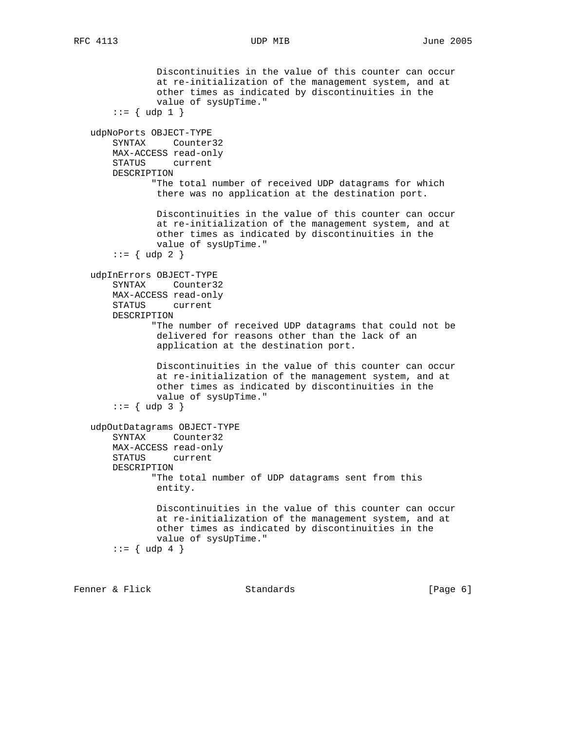```
 Discontinuities in the value of this counter can occur
             at re-initialization of the management system, and at
             other times as indicated by discontinuities in the
             value of sysUpTime."
    ::= \{ udp 1 \} udpNoPorts OBJECT-TYPE
    SYNTAX Counter32
    MAX-ACCESS read-only
    STATUS current
    DESCRIPTION
            "The total number of received UDP datagrams for which
             there was no application at the destination port.
             Discontinuities in the value of this counter can occur
             at re-initialization of the management system, and at
             other times as indicated by discontinuities in the
             value of sysUpTime."
    ::= \{ udp 2 \} udpInErrors OBJECT-TYPE
     SYNTAX Counter32
    MAX-ACCESS read-only
    STATUS current
    DESCRIPTION
            "The number of received UDP datagrams that could not be
             delivered for reasons other than the lack of an
             application at the destination port.
             Discontinuities in the value of this counter can occur
             at re-initialization of the management system, and at
             other times as indicated by discontinuities in the
             value of sysUpTime."
    ::= \{ udp 3 \} udpOutDatagrams OBJECT-TYPE
     SYNTAX Counter32
    MAX-ACCESS read-only
    STATUS current
    DESCRIPTION
            "The total number of UDP datagrams sent from this
             entity.
             Discontinuities in the value of this counter can occur
             at re-initialization of the management system, and at
             other times as indicated by discontinuities in the
             value of sysUpTime."
    ::= \{ udp 4 \}
```
Fenner & Flick Standards (Page 6)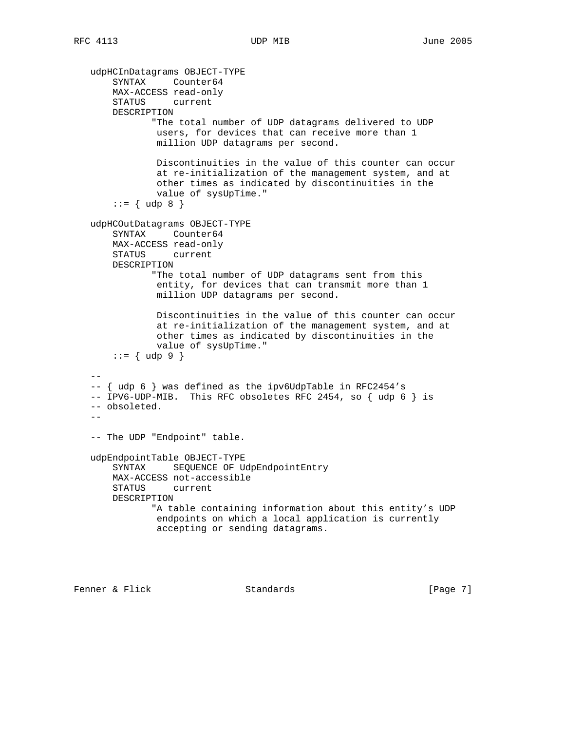```
 udpHCInDatagrams OBJECT-TYPE
       SYNTAX Counter64
       MAX-ACCESS read-only
       STATUS current
       DESCRIPTION
               "The total number of UDP datagrams delivered to UDP
               users, for devices that can receive more than 1
               million UDP datagrams per second.
               Discontinuities in the value of this counter can occur
               at re-initialization of the management system, and at
               other times as indicated by discontinuities in the
               value of sysUpTime."
       ::= \{ udp 8 \} udpHCOutDatagrams OBJECT-TYPE
       SYNTAX Counter64
       MAX-ACCESS read-only
       STATUS current
       DESCRIPTION
               "The total number of UDP datagrams sent from this
               entity, for devices that can transmit more than 1
               million UDP datagrams per second.
               Discontinuities in the value of this counter can occur
               at re-initialization of the management system, and at
               other times as indicated by discontinuities in the
               value of sysUpTime."
      ::= \{ udp 9 \}- -- { udp 6 } was defined as the ipv6UdpTable in RFC2454's
   -- IPV6-UDP-MIB. This RFC obsoletes RFC 2454, so { udp 6 } is
   -- obsoleted.
 --
   -- The UDP "Endpoint" table.
   udpEndpointTable OBJECT-TYPE
       SYNTAX SEQUENCE OF UdpEndpointEntry
       MAX-ACCESS not-accessible
       STATUS current
       DESCRIPTION
               "A table containing information about this entity's UDP
               endpoints on which a local application is currently
               accepting or sending datagrams.
```
Fenner & Flick Standards (Page 7)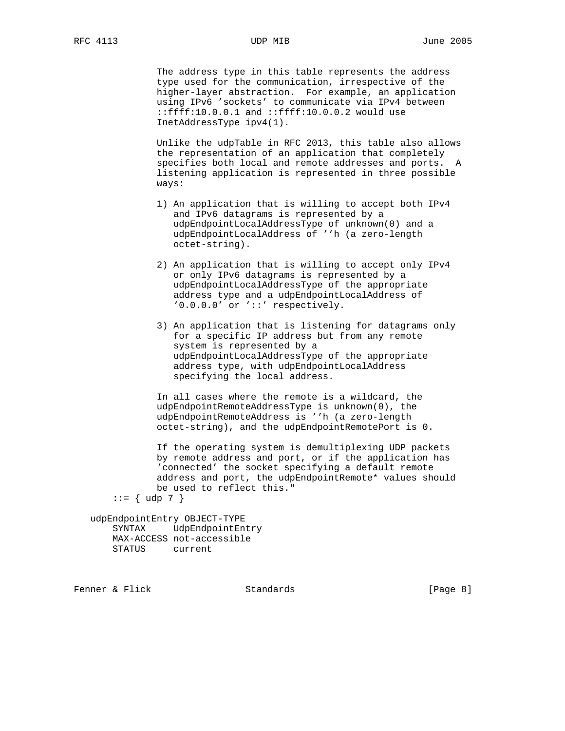The address type in this table represents the address type used for the communication, irrespective of the higher-layer abstraction. For example, an application using IPv6 'sockets' to communicate via IPv4 between ::ffff:10.0.0.1 and ::ffff:10.0.0.2 would use InetAddressType ipv4(1).

 Unlike the udpTable in RFC 2013, this table also allows the representation of an application that completely specifies both local and remote addresses and ports. A listening application is represented in three possible ways:

- 1) An application that is willing to accept both IPv4 and IPv6 datagrams is represented by a udpEndpointLocalAddressType of unknown(0) and a udpEndpointLocalAddress of ''h (a zero-length octet-string).
- 2) An application that is willing to accept only IPv4 or only IPv6 datagrams is represented by a udpEndpointLocalAddressType of the appropriate address type and a udpEndpointLocalAddress of '0.0.0.0' or '::' respectively.
- 3) An application that is listening for datagrams only for a specific IP address but from any remote system is represented by a udpEndpointLocalAddressType of the appropriate address type, with udpEndpointLocalAddress specifying the local address.

 In all cases where the remote is a wildcard, the udpEndpointRemoteAddressType is unknown(0), the udpEndpointRemoteAddress is ''h (a zero-length octet-string), and the udpEndpointRemotePort is 0.

 If the operating system is demultiplexing UDP packets by remote address and port, or if the application has 'connected' the socket specifying a default remote address and port, the udpEndpointRemote\* values should be used to reflect this."

 $::= \{ udp 7 \}$ 

 udpEndpointEntry OBJECT-TYPE SYNTAX UdpEndpointEntry MAX-ACCESS not-accessible STATUS current

Fenner & Flick Standards (Page 8)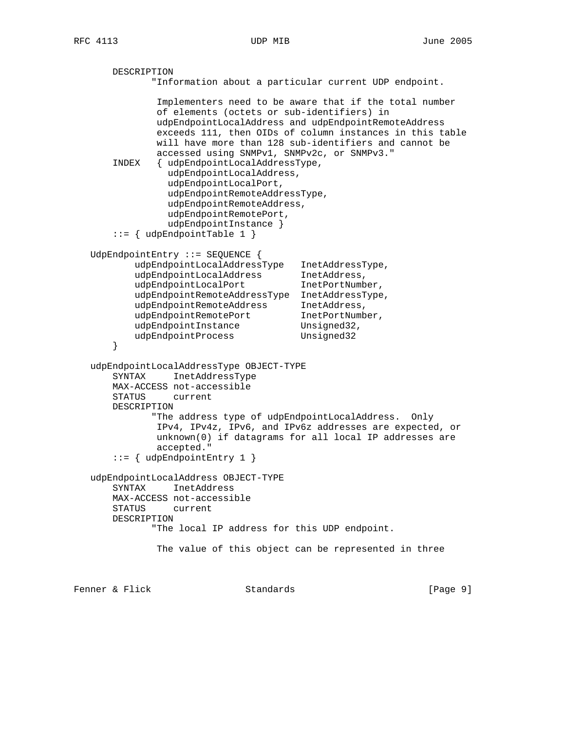DESCRIPTION "Information about a particular current UDP endpoint. Implementers need to be aware that if the total number of elements (octets or sub-identifiers) in udpEndpointLocalAddress and udpEndpointRemoteAddress exceeds 111, then OIDs of column instances in this table will have more than 128 sub-identifiers and cannot be accessed using SNMPv1, SNMPv2c, or SNMPv3." INDEX { udpEndpointLocalAddressType, udpEndpointLocalAddress, udpEndpointLocalPort, udpEndpointRemoteAddressType, udpEndpointRemoteAddress, udpEndpointRemotePort, udpEndpointInstance }  $::=$  { udpEndpointTable 1 } UdpEndpointEntry ::= SEQUENCE { udpEndpointLocalAddressType InetAddressType, udpEndpointLocalAddress InetAddress, udpEndpointLocalPort 1netPortNumber, udpEndpointRemoteAddressType InetAddressType, udpEndpointRemoteAddress InetAddress, udpEndpointRemotePort 1netPortNumber, udpEndpointInstance Unsigned32, udpEndpointProcess Unsigned32 } udpEndpointLocalAddressType OBJECT-TYPE SYNTAX InetAddressType MAX-ACCESS not-accessible STATUS current DESCRIPTION "The address type of udpEndpointLocalAddress. Only IPv4, IPv4z, IPv6, and IPv6z addresses are expected, or unknown(0) if datagrams for all local IP addresses are accepted." ::= { udpEndpointEntry 1 } udpEndpointLocalAddress OBJECT-TYPE SYNTAX InetAddress MAX-ACCESS not-accessible STATUS current DESCRIPTION "The local IP address for this UDP endpoint. The value of this object can be represented in three

Fenner & Flick Standards (Page 9)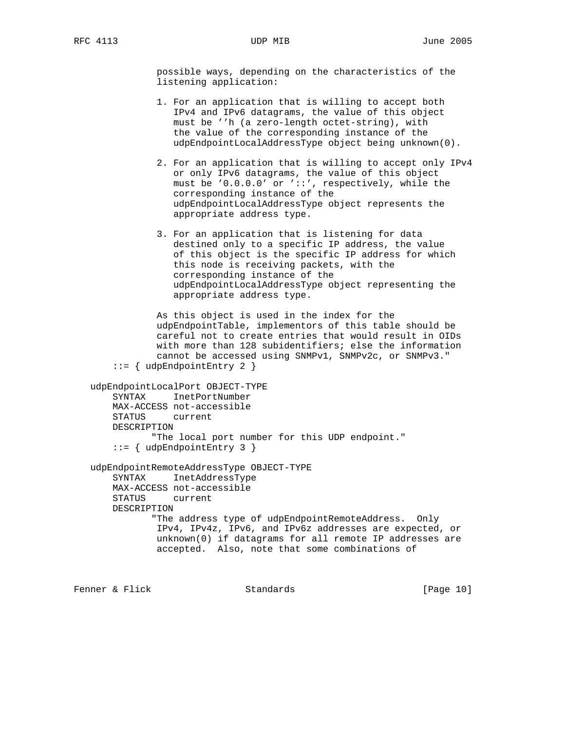possible ways, depending on the characteristics of the listening application:

- 1. For an application that is willing to accept both IPv4 and IPv6 datagrams, the value of this object must be ''h (a zero-length octet-string), with the value of the corresponding instance of the udpEndpointLocalAddressType object being unknown(0).
- 2. For an application that is willing to accept only IPv4 or only IPv6 datagrams, the value of this object must be '0.0.0.0' or '::', respectively, while the corresponding instance of the udpEndpointLocalAddressType object represents the appropriate address type.
- 3. For an application that is listening for data destined only to a specific IP address, the value of this object is the specific IP address for which this node is receiving packets, with the corresponding instance of the udpEndpointLocalAddressType object representing the appropriate address type.

 As this object is used in the index for the udpEndpointTable, implementors of this table should be careful not to create entries that would result in OIDs with more than 128 subidentifiers; else the information cannot be accessed using SNMPv1, SNMPv2c, or SNMPv3." ::= { udpEndpointEntry 2 }

 udpEndpointLocalPort OBJECT-TYPE SYNTAX InetPortNumber MAX-ACCESS not-accessible STATUS current DESCRIPTION "The local port number for this UDP endpoint."  $::=$  { udpEndpointEntry 3 }

 udpEndpointRemoteAddressType OBJECT-TYPE SYNTAX InetAddressType MAX-ACCESS not-accessible STATUS current DESCRIPTION "The address type of udpEndpointRemoteAddress. Only IPv4, IPv4z, IPv6, and IPv6z addresses are expected, or unknown(0) if datagrams for all remote IP addresses are accepted. Also, note that some combinations of

Fenner & Flick  $\blacksquare$  Standards [Page 10]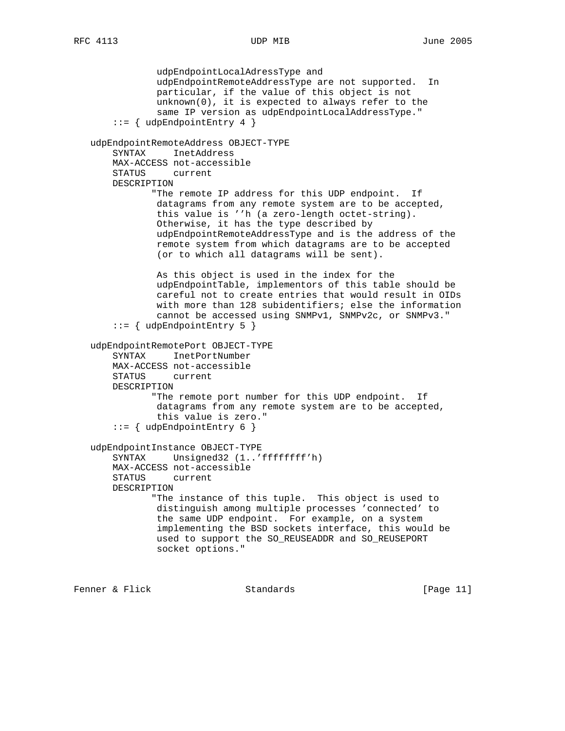udpEndpointLocalAdressType and udpEndpointRemoteAddressType are not supported. In particular, if the value of this object is not unknown(0), it is expected to always refer to the same IP version as udpEndpointLocalAddressType." ::= { udpEndpointEntry 4 } udpEndpointRemoteAddress OBJECT-TYPE SYNTAX InetAddress MAX-ACCESS not-accessible STATUS current DESCRIPTION "The remote IP address for this UDP endpoint. If datagrams from any remote system are to be accepted, this value is ''h (a zero-length octet-string). Otherwise, it has the type described by udpEndpointRemoteAddressType and is the address of the remote system from which datagrams are to be accepted (or to which all datagrams will be sent). As this object is used in the index for the udpEndpointTable, implementors of this table should be careful not to create entries that would result in OIDs with more than 128 subidentifiers; else the information cannot be accessed using SNMPv1, SNMPv2c, or SNMPv3." ::= { udpEndpointEntry 5 } udpEndpointRemotePort OBJECT-TYPE SYNTAX InetPortNumber MAX-ACCESS not-accessible STATUS current DESCRIPTION "The remote port number for this UDP endpoint. If datagrams from any remote system are to be accepted, this value is zero." ::= { udpEndpointEntry 6 } udpEndpointInstance OBJECT-TYPE SYNTAX Unsigned32 (1..'ffffffff'h) MAX-ACCESS not-accessible STATUS current DESCRIPTION "The instance of this tuple. This object is used to distinguish among multiple processes 'connected' to the same UDP endpoint. For example, on a system implementing the BSD sockets interface, this would be used to support the SO\_REUSEADDR and SO\_REUSEPORT socket options."

Fenner & Flick  $\blacksquare$  Standards [Page 11]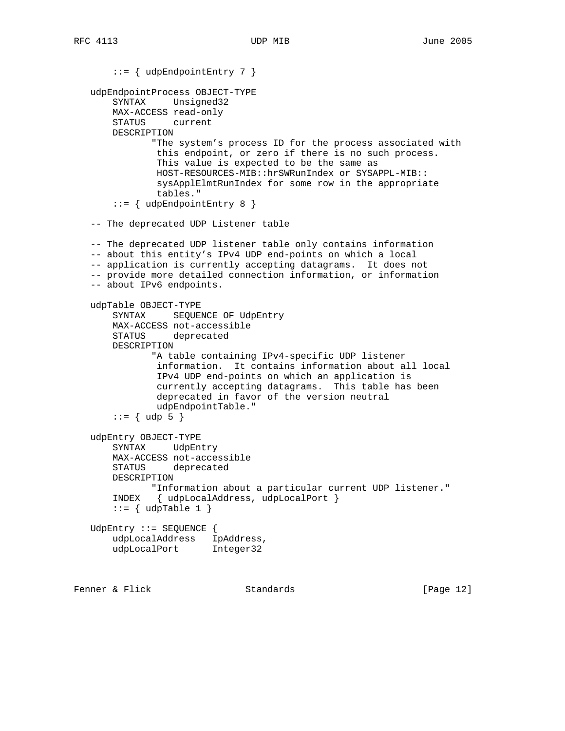```
 ::= { udpEndpointEntry 7 }
 udpEndpointProcess OBJECT-TYPE
    SYNTAX Unsigned32
    MAX-ACCESS read-only
    STATUS current
    DESCRIPTION
            "The system's process ID for the process associated with
             this endpoint, or zero if there is no such process.
             This value is expected to be the same as
             HOST-RESOURCES-MIB::hrSWRunIndex or SYSAPPL-MIB::
             sysApplElmtRunIndex for some row in the appropriate
             tables."
     ::= { udpEndpointEntry 8 }
 -- The deprecated UDP Listener table
 -- The deprecated UDP listener table only contains information
 -- about this entity's IPv4 UDP end-points on which a local
 -- application is currently accepting datagrams. It does not
 -- provide more detailed connection information, or information
 -- about IPv6 endpoints.
 udpTable OBJECT-TYPE
     SYNTAX SEQUENCE OF UdpEntry
    MAX-ACCESS not-accessible
    STATUS deprecated
    DESCRIPTION
            "A table containing IPv4-specific UDP listener
             information. It contains information about all local
             IPv4 UDP end-points on which an application is
             currently accepting datagrams. This table has been
             deprecated in favor of the version neutral
             udpEndpointTable."
    ::= \{ udp 5 \} udpEntry OBJECT-TYPE
    SYNTAX UdpEntry
    MAX-ACCESS not-accessible
    STATUS deprecated
    DESCRIPTION
           "Information about a particular current UDP listener."
     INDEX { udpLocalAddress, udpLocalPort }
    ::= { udpTable 1 }
 UdpEntry ::= SEQUENCE {
    udpLocalAddress IpAddress,
    udpLocalPort Integer32
```
Fenner & Flick  $\blacksquare$  Standards [Page 12]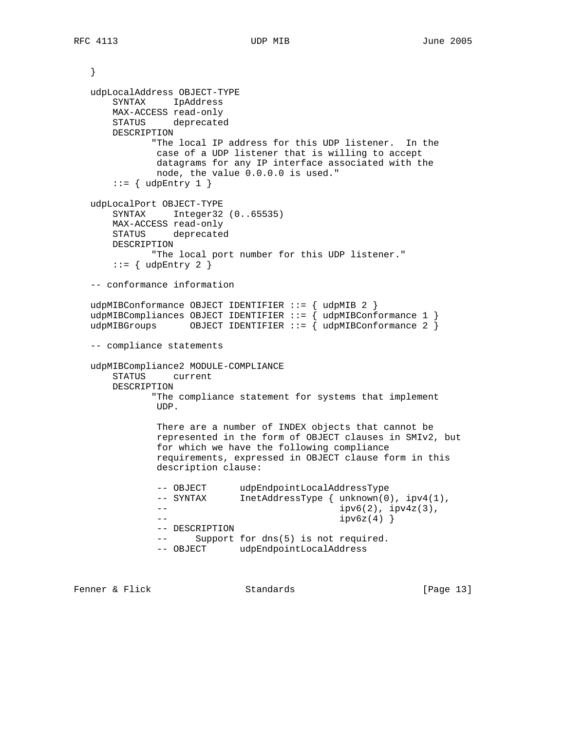} udpLocalAddress OBJECT-TYPE SYNTAX IpAddress MAX-ACCESS read-only STATUS deprecated DESCRIPTION "The local IP address for this UDP listener. In the case of a UDP listener that is willing to accept datagrams for any IP interface associated with the node, the value 0.0.0.0 is used."  $::=$  { udpEntry 1 } udpLocalPort OBJECT-TYPE SYNTAX Integer32 (0..65535) MAX-ACCESS read-only STATUS deprecated DESCRIPTION "The local port number for this UDP listener."  $::= \{ udpEntry 2 \}$  -- conformance information udpMIBConformance OBJECT IDENTIFIER ::= { udpMIB 2 } udpMIBCompliances OBJECT IDENTIFIER  $::=$   $\{$  udpMIBConformance 1  $\}$ udpMIBGroups OBJECT IDENTIFIER ::=  $\{ \text{udpMIBConformance 2 } \}$  -- compliance statements udpMIBCompliance2 MODULE-COMPLIANCE STATUS current DESCRIPTION "The compliance statement for systems that implement UDP. There are a number of INDEX objects that cannot be represented in the form of OBJECT clauses in SMIv2, but for which we have the following compliance requirements, expressed in OBJECT clause form in this description clause: -- OBJECT udpEndpointLocalAddressType -- SYNTAX InetAddressType { unknown(0), ipv4(1), -- ipv6(2), ipv4z(3),  $- ipv6z(4)$ } -- DESCRIPTION -- Support for dns(5) is not required. -- OBJECT udpEndpointLocalAddress

Fenner & Flick Standards [Page 13]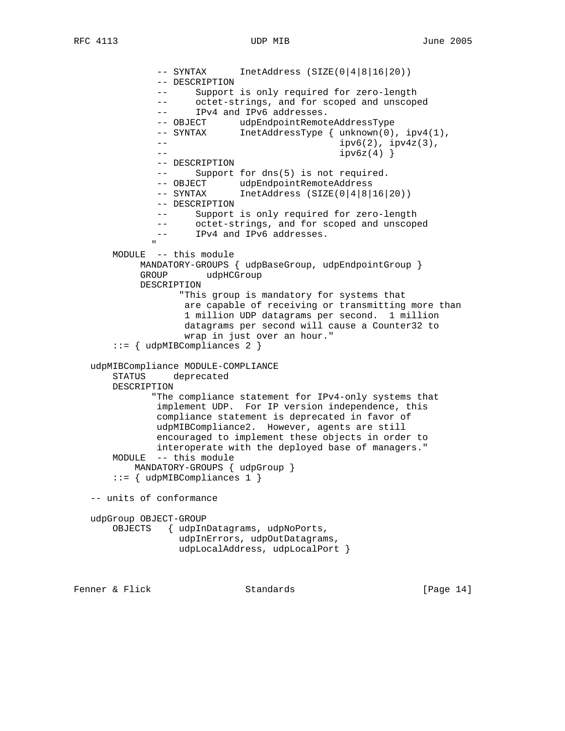-- SYNTAX InetAddress (SIZE(0|4|8|16|20)) -- DESCRIPTION -- Support is only required for zero-length -- octet-strings, and for scoped and unscoped -- IPv4 and IPv6 addresses. -- OBJECT udpEndpointRemoteAddressType<br>-- SYNTAX InetAddressType { unknown(0)  $InetAddressType { unknown(0), ipv4(1),}$  -- ipv6(2), ipv4z(3),  $- ipv6z(4)$  } -- DESCRIPTION -- Support for dns(5) is not required. -- OBJECT udpEndpointRemoteAddress -- SYNTAX InetAddress (SIZE(0|4|8|16|20)) -- SYNTAX InetAddress (SIZE(0|4|8|16|20))<br>-- DESCRIPTION -- Support is only required for zero-length -- octet-strings, and for scoped and unscoped -- IPv4 and IPv6 addresses. " MODULE -- this module MANDATORY-GROUPS { udpBaseGroup, udpEndpointGroup } GROUP udpHCGroup DESCRIPTION "This group is mandatory for systems that are capable of receiving or transmitting more than 1 million UDP datagrams per second. 1 million datagrams per second will cause a Counter32 to wrap in just over an hour." ::= { udpMIBCompliances 2 } udpMIBCompliance MODULE-COMPLIANCE STATUS deprecated DESCRIPTION "The compliance statement for IPv4-only systems that implement UDP. For IP version independence, this compliance statement is deprecated in favor of udpMIBCompliance2. However, agents are still encouraged to implement these objects in order to interoperate with the deployed base of managers." MODULE -- this module MANDATORY-GROUPS { udpGroup } ::= { udpMIBCompliances 1 } -- units of conformance udpGroup OBJECT-GROUP OBJECTS { udpInDatagrams, udpNoPorts, udpInErrors, udpOutDatagrams, udpLocalAddress, udpLocalPort }

Fenner & Flick  $\blacksquare$  Standards [Page 14]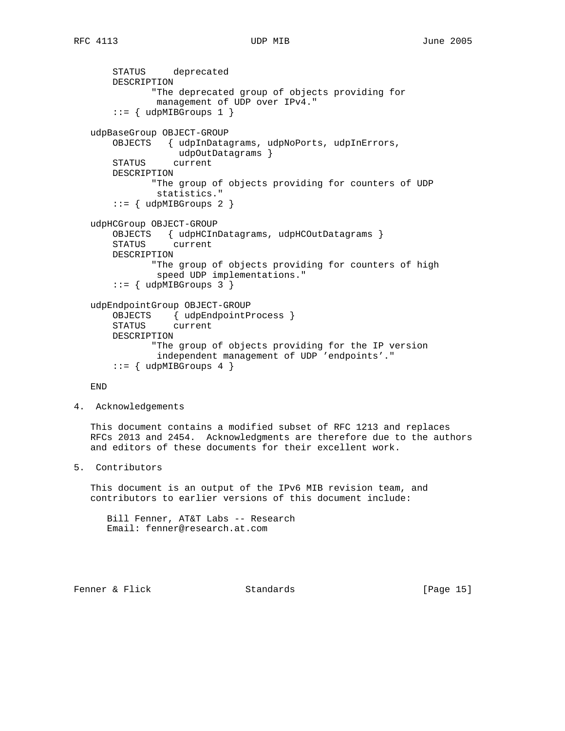```
 STATUS deprecated
    DESCRIPTION
            "The deprecated group of objects providing for
             management of UDP over IPv4."
    ::= { udpMIBGroups 1 }
 udpBaseGroup OBJECT-GROUP
    OBJECTS { udpInDatagrams, udpNoPorts, udpInErrors,
                udpOutDatagrams }
     STATUS current
    DESCRIPTION
            "The group of objects providing for counters of UDP
            statistics."
    ::= { udpMIBGroups 2 }
 udpHCGroup OBJECT-GROUP
    OBJECTS { udpHCInDatagrams, udpHCOutDatagrams }
     STATUS current
    DESCRIPTION
            "The group of objects providing for counters of high
             speed UDP implementations."
    ::= { udpMIBGroups 3 }
 udpEndpointGroup OBJECT-GROUP
    OBJECTS { udpEndpointProcess }
     STATUS current
    DESCRIPTION
            "The group of objects providing for the IP version
             independent management of UDP 'endpoints'."
    ::= { udpMIBGroups 4 }
```
END

```
4. Acknowledgements
```
 This document contains a modified subset of RFC 1213 and replaces RFCs 2013 and 2454. Acknowledgments are therefore due to the authors and editors of these documents for their excellent work.

5. Contributors

 This document is an output of the IPv6 MIB revision team, and contributors to earlier versions of this document include:

 Bill Fenner, AT&T Labs -- Research Email: fenner@research.at.com

Fenner & Flick  $\blacksquare$  Standards [Page 15]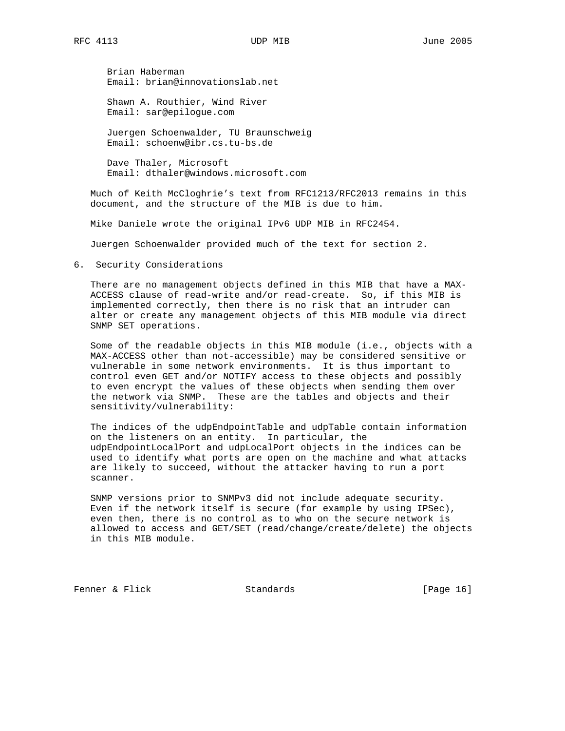Brian Haberman Email: brian@innovationslab.net

 Shawn A. Routhier, Wind River Email: sar@epilogue.com

 Juergen Schoenwalder, TU Braunschweig Email: schoenw@ibr.cs.tu-bs.de

 Dave Thaler, Microsoft Email: dthaler@windows.microsoft.com

 Much of Keith McCloghrie's text from RFC1213/RFC2013 remains in this document, and the structure of the MIB is due to him.

Mike Daniele wrote the original IPv6 UDP MIB in RFC2454.

Juergen Schoenwalder provided much of the text for section 2.

6. Security Considerations

 There are no management objects defined in this MIB that have a MAX- ACCESS clause of read-write and/or read-create. So, if this MIB is implemented correctly, then there is no risk that an intruder can alter or create any management objects of this MIB module via direct SNMP SET operations.

 Some of the readable objects in this MIB module (i.e., objects with a MAX-ACCESS other than not-accessible) may be considered sensitive or vulnerable in some network environments. It is thus important to control even GET and/or NOTIFY access to these objects and possibly to even encrypt the values of these objects when sending them over the network via SNMP. These are the tables and objects and their sensitivity/vulnerability:

 The indices of the udpEndpointTable and udpTable contain information on the listeners on an entity. In particular, the udpEndpointLocalPort and udpLocalPort objects in the indices can be used to identify what ports are open on the machine and what attacks are likely to succeed, without the attacker having to run a port scanner.

 SNMP versions prior to SNMPv3 did not include adequate security. Even if the network itself is secure (for example by using IPSec), even then, there is no control as to who on the secure network is allowed to access and GET/SET (read/change/create/delete) the objects in this MIB module.

Fenner & Flick  $\blacksquare$  Standards [Page 16]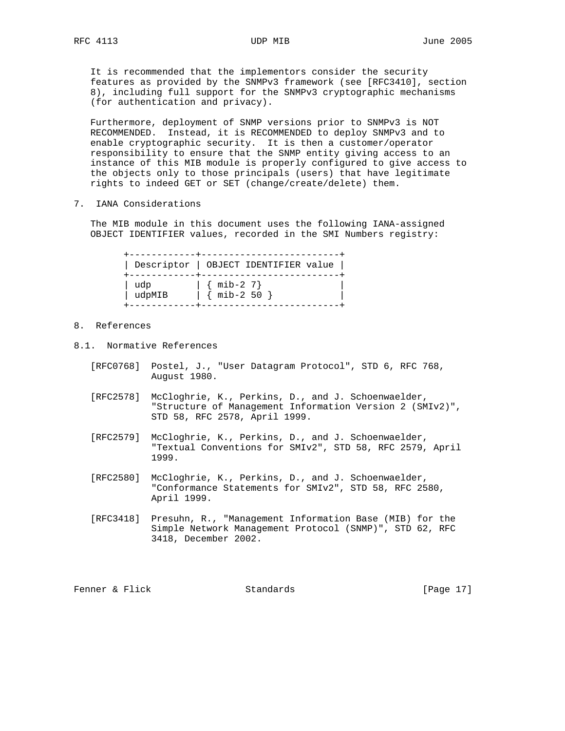It is recommended that the implementors consider the security features as provided by the SNMPv3 framework (see [RFC3410], section 8), including full support for the SNMPv3 cryptographic mechanisms (for authentication and privacy).

 Furthermore, deployment of SNMP versions prior to SNMPv3 is NOT RECOMMENDED. Instead, it is RECOMMENDED to deploy SNMPv3 and to enable cryptographic security. It is then a customer/operator responsibility to ensure that the SNMP entity giving access to an instance of this MIB module is properly configured to give access to the objects only to those principals (users) that have legitimate rights to indeed GET or SET (change/create/delete) them.

7. IANA Considerations

 The MIB module in this document uses the following IANA-assigned OBJECT IDENTIFIER values, recorded in the SMI Numbers registry:

|               | Descriptor   OBJECT IDENTIFIER value |
|---------------|--------------------------------------|
| udp<br>udpMIB | $min-2$ 7}<br>$\{$ mib-2 50          |

# 8. References

- 8.1. Normative References
	- [RFC0768] Postel, J., "User Datagram Protocol", STD 6, RFC 768, August 1980.
	- [RFC2578] McCloghrie, K., Perkins, D., and J. Schoenwaelder, "Structure of Management Information Version 2 (SMIv2)", STD 58, RFC 2578, April 1999.
	- [RFC2579] McCloghrie, K., Perkins, D., and J. Schoenwaelder, "Textual Conventions for SMIv2", STD 58, RFC 2579, April 1999.
	- [RFC2580] McCloghrie, K., Perkins, D., and J. Schoenwaelder, "Conformance Statements for SMIv2", STD 58, RFC 2580, April 1999.
	- [RFC3418] Presuhn, R., "Management Information Base (MIB) for the Simple Network Management Protocol (SNMP)", STD 62, RFC 3418, December 2002.

Fenner & Flick  $\blacksquare$  Standards [Page 17]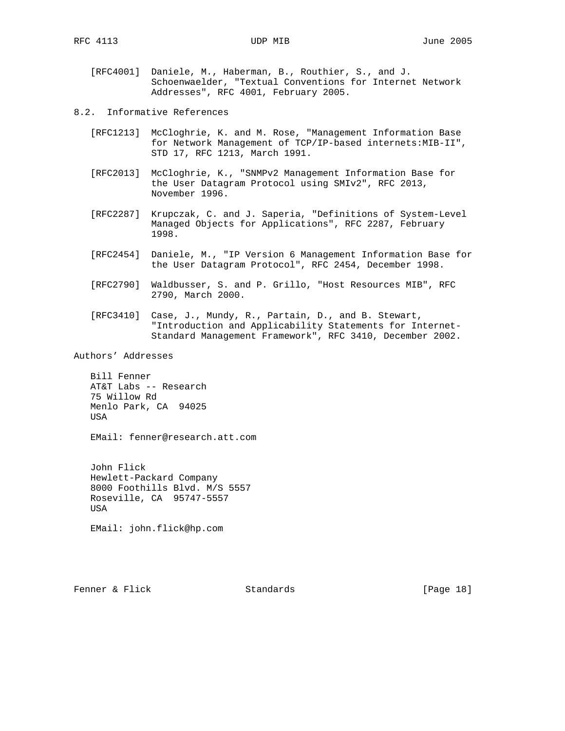- [RFC4001] Daniele, M., Haberman, B., Routhier, S., and J. Schoenwaelder, "Textual Conventions for Internet Network Addresses", RFC 4001, February 2005.
- 8.2. Informative References
	- [RFC1213] McCloghrie, K. and M. Rose, "Management Information Base for Network Management of TCP/IP-based internets:MIB-II", STD 17, RFC 1213, March 1991.
	- [RFC2013] McCloghrie, K., "SNMPv2 Management Information Base for the User Datagram Protocol using SMIv2", RFC 2013, November 1996.
	- [RFC2287] Krupczak, C. and J. Saperia, "Definitions of System-Level Managed Objects for Applications", RFC 2287, February 1998.
	- [RFC2454] Daniele, M., "IP Version 6 Management Information Base for the User Datagram Protocol", RFC 2454, December 1998.
	- [RFC2790] Waldbusser, S. and P. Grillo, "Host Resources MIB", RFC 2790, March 2000.
- [RFC3410] Case, J., Mundy, R., Partain, D., and B. Stewart, "Introduction and Applicability Statements for Internet- Standard Management Framework", RFC 3410, December 2002.

Authors' Addresses

 Bill Fenner AT&T Labs -- Research 75 Willow Rd Menlo Park, CA 94025 USA

EMail: fenner@research.att.com

 John Flick Hewlett-Packard Company 8000 Foothills Blvd. M/S 5557 Roseville, CA 95747-5557 USA

EMail: john.flick@hp.com

Fenner & Flick  $\blacksquare$  Standards [Page 18]